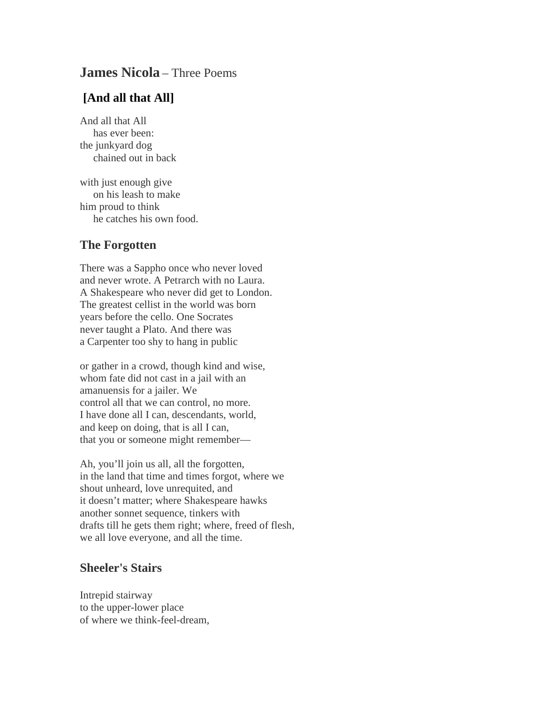## **James Nicola** – Three Poems

## **[And all that All]**

And all that All has ever been: the junkyard dog chained out in back

with just enough give on his leash to make him proud to think he catches his own food.

## **The Forgotten**

There was a Sappho once who never loved and never wrote. A Petrarch with no Laura. A Shakespeare who never did get to London. The greatest cellist in the world was born years before the cello. One Socrates never taught a Plato. And there was a Carpenter too shy to hang in public

or gather in a crowd, though kind and wise, whom fate did not cast in a jail with an amanuensis for a jailer. We control all that we can control, no more. I have done all I can, descendants, world, and keep on doing, that is all I can, that you or someone might remember—

Ah, you'll join us all, all the forgotten, in the land that time and times forgot, where we shout unheard, love unrequited, and it doesn't matter; where Shakespeare hawks another sonnet sequence, tinkers with drafts till he gets them right; where, freed of flesh, we all love everyone, and all the time.

## **Sheeler's Stairs**

Intrepid stairway to the upper-lower place of where we think-feel-dream,